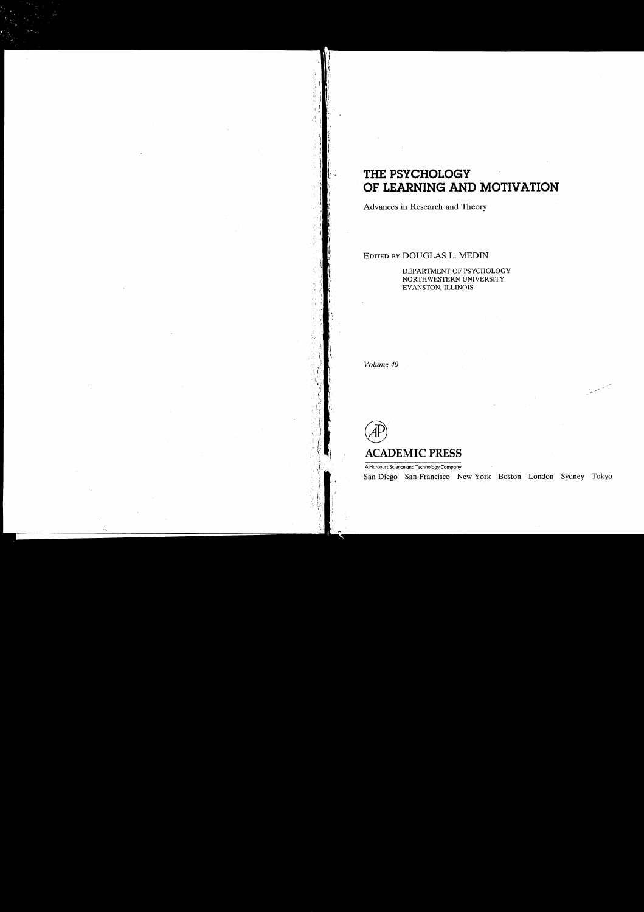# **THE PSYCHOLOGY OF LEARNING AND MOTIVATION**

Advances in Research and Theory

EDITED BY DOUGLAS L. MEDIN

DEPARTMENT OF PSYCHOLOGY NORTHWESTERN UNIVERSITY EVANSTON, ILLINOIS

*Volume 40* 

*·i*  ./  $\mathcal{H}$ I <sup>~</sup>

·1 <sup>j</sup> j,  $\mathcal{H}$  .  $\mathcal{H}$ ~,' l i  $\mathbf{r}$  $\mathsf{H}$  II, I

!  $\frac{1}{2}$ 



San Diego San Francisco New York Boston London Sydney Tokyo

. .--·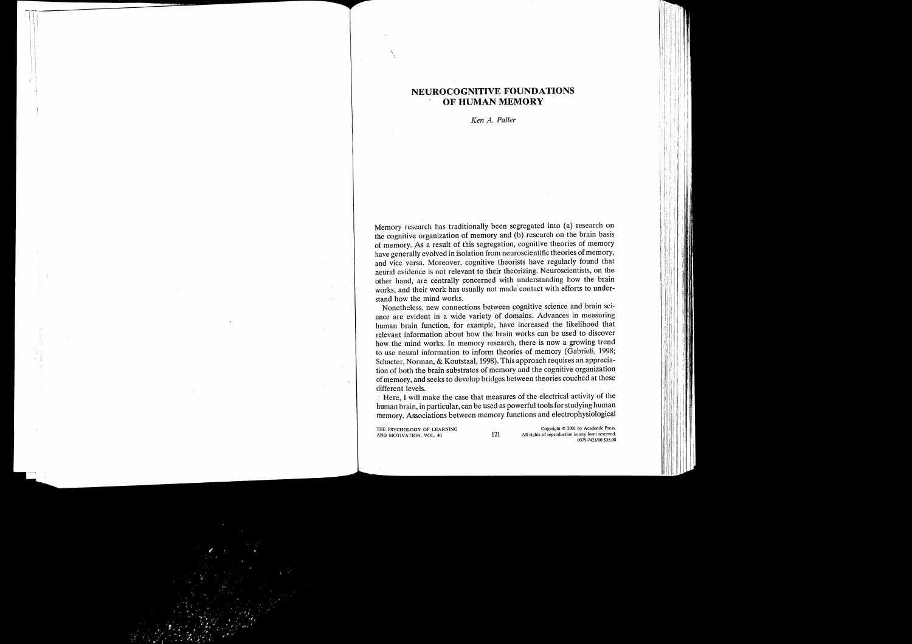# **NEUROCOGNITIVE FOUNDATIONS**  . **OF HUMAN MEMORY**

*Ken A. Paller* 

Memory research has traditionally been segregated into (a) research on the cognitive organization of memory and (b) research on the brain basis of memory .. As a result of this segregation, cognitive theories of memory have generally evolved in isolation from neuroscientific theories of memory, and vice versa. Moreover, cognitive theorists have regularly found that neural evidence is not relevant to their theorizing. Neuroscientists, on the other hand, are centrally concerned with understanding how the brain works, and their work has usually not made' contact with efforts to understand how the mind works.

Nonetheless, new connections between cognitive science and brain science are evident in a wide variety of domains. Advances in measuring human. brain function, for example, have increased the likelihood that relevant information about how the brain works can be used to discover how. the mind works. In memory research, there is now a growing trend to use neural information to inform theories of memory (Gabrieli, 1998; Schacter, Norman, & Koutstaal, 1998). This approach requires an appreciation of both the brain substrates of memory and the cognitive organization of memory, and seeks to develop bridges between theories couched at these different levels.

: Here, I will make the case that measures of the electrical activity of the human brain, in particular, can be used as powerful tools for studying human memory. Associations between memory functions and electrophysiological

THE PSYCHOLOGY OF LEARNING AND MOTIVATION, VOL. 40 121

a kingan

 $\sim$ 

Copyright © 2001 by Academic Press. All rights of reproduction in any form reserved. 0079-7421/00 \$35.00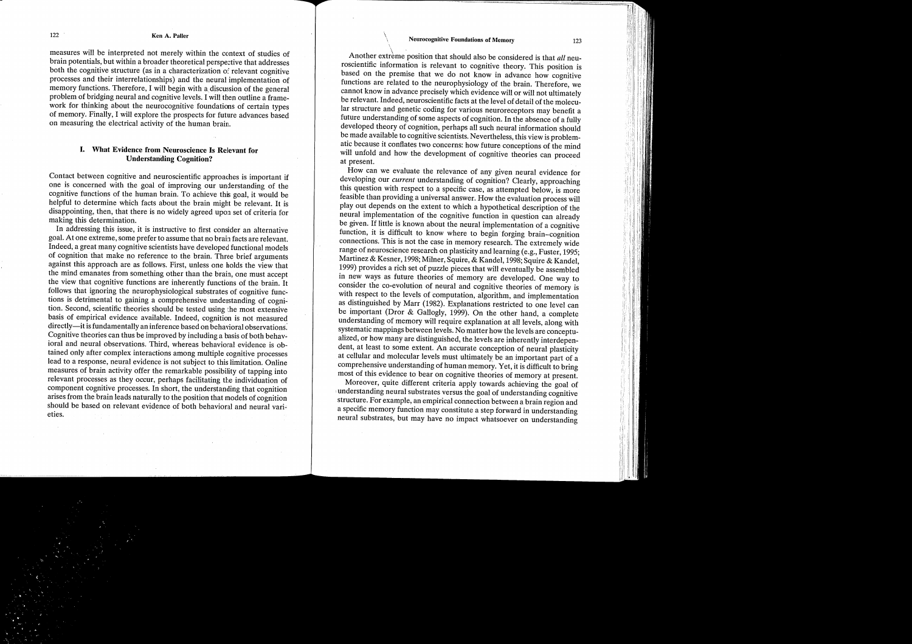\

measures will be interpreted not merely within the context of studies of brain potentials, but within a broader theoretical perspective that addresses both the cognitive structure (as in a characterization of relevant cognitive processes and their interrelationships) and the neural implementation of memory functions. Therefore, I will begin with a discussion of the general problem of bridging neural and cognitive levels. I will then outline a framework for thinking about the neurocognitive foundations of certain types of memory. Finally, I will explore the prospects for future advances based on measuring the electrical activity of the human brain.

### I. What Evidence from Neuroscience Is Relevant for Understanding Cognition?

Contact between cognitive and neuroscientific approaches is important if one is concerned with the goal of improving our understanding of the cognitive functions of the human brain. To achieve this goal, it would be helpful to determine which facts about the brain might be relevant. It is disappointing, then, that there is no widely agreed upon set of criteria for making this determination.

In addressing this issue, it is instructive to first consider an alternative goal. At one extreme, some prefer to assume that no brain facts are relevant. Indeed; a great many cognitive scientists have developed functional models of cognition that make no reference to the brain. Three brief arguments against this approach are as follows. First, unless one holds the view that the mind emanates from something other than the brain, one must accept the view that cognitive functions are inherently functions of the brain. It follows that ignoring the neurophysiological substrates of cognitive functions is detrimental to gaining a comprehensive understanding of cognition. Second, scientific theories should be tested using the most extensive basis of empirical evidence available. Indeed, cognition is not measured directly-it is fundamentally an inference based on behavioral observations. Cognitive theories can thus be improved by including a basis of both behavioral and neural observations. Third, whereas behavioral evidence is obtained only after complex interactions among multiple cognitive processes lead to a response, neural evidence is not subject to this limitation. Online measures of brain activity offer the remarkable possibility of tapping into relevant processes as they occur, perhaps facilitating the individuation of component cognitive processes. In short, the understanding that cognition arises from the brain leads naturally to the position that models of cognition should be based on relevant evidence of both behavioral and neural varieties.

Another extreme position that should also be considered is that *all* neuroscientific information is relevant to cognitive theory. This position is based on the premise that we do not know in advance how cognitive functions are related to the neurophysiology of the brain. Therefore, we cannot know in advance precisely which evidence will or will not ultimately be relevant. Indeed, neuroscientific facts at the level of detail of the molecular structure and genetic coding for various neuroreceptors may benefit a future understanding of some aspects of cognition. In the absence of a fully developed theory of cognition, perhaps all such neural information should be made available to cognitive scientists. Nevertheless, this view is problematic because it conflates two concerns: how future conceptions of the mind will unfold and how the development of cognitive theories can proceed at present.

How can we evaluate the relevance of any given neural evidence for developing our *current* understanding of cognition? Clearly, approaching this question with respect to a specific case, as attempted below, is more feasible than providing a universal answer. How the evaluation process will play out depends on the extent to which a hypothetical description of the neural implementation of the cognitive function in question can already be given. If little is known about the neural implementation of a cognitive function, it is difficult to know where to begin forging brain-cognition connections. This is not the case in memory research. The extremely wide range of neuroscience research on plasticity and learning (e.g., Fuster, 1995; Martinez & Kesner, 1998; Milner, Squire, & Kandel, 1998; Squire & Kandel, 1999) provides a rich set of puzzle pieces that will eventually be assembled in new ways as future theories of memory are developed. One way to consider the co-evolution of neural and cognitive theories of memory is with respect to the levels of computation, algorithm, and implementation as distinguished by Marr (1982). Explanations restricted to one level can be important (Dror & Gallogly, 1999). On the other hand, a complete understanding of memory will require explanation at all levels, along with systematic mappings between levels. No matter how the levels are conceptualized, or how many are distinguished, the levels are inherently interdependent, at least to some extent. An accurate conception of neural plasticity at cellular and molecular levels must ultimately be an important part of a comprehensive understanding of human memory. Yet, it is difficult to bring most of this evidence to bear on cognitive theories of memory at present.

Moreover, quite different criteria apply towards achieving the goal of understanding neural substrates versus the goal of understanding cognitive structure. For example, an empirical connection between a brain region and a specific memory function may constitute a step forward in understanding neural substrates, but may have no impact whatsoever on understanding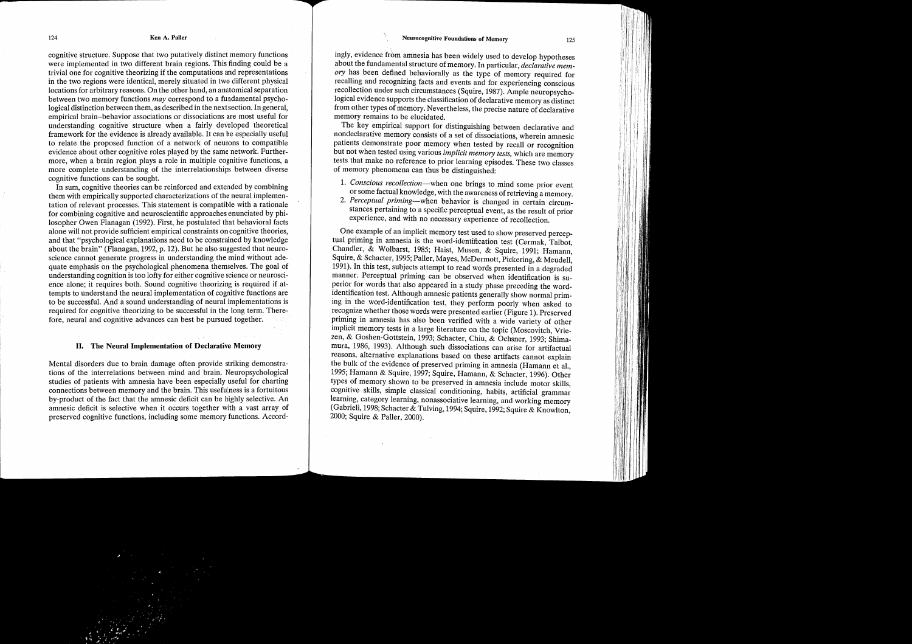cognitive structure. Suppose that two putatively distinct memory functions were implemented in two different brain regions. This finding could be a trivial one for cognitive theorizing if the computations and representations in the two regions were identical, merely situated in two different physical locations for arbitrary reasons. On the other hand, an anatomical separation between two memory functions *may* correspond to a fundamental psychological distinction between them, as described in the next section. In general, empirical brain-behavior associations or dissociations are most useful for understanding cognitive structure when a fairly developed theoretical framework for the evidence is already available. It can be especially useful to relate the proposed function of a network of neurons to compatible evidence about other cognitive roles played by the same network. Furthermore, when a brain region plays a role in multiple cognitive functions, a more complete understanding of the interrelationships between diverse cognitive functions can be sought.

In sum, cognitive theories can be reinforced and extended by combining them with empirically supported characterizations of the neural implementation of relevant processes. This statement is compatible with a rationale for combining cognitive and neuroscientific approaches enunciated by philosopher Owen Flanagan (1992). First, he postulated that behavioral facts alone will not provide sufficient empirical constraints on cognitive theories, and that "psychological explanations need to be constrained by knowledge about the brain" (Flanagan, 1992, p. 12). But he also suggested that neuroscience cannot generate progress in understanding the mind without adequate emphasis on the psychological phenomena themselves. The goal of understanding cognition is too lofty for either cognitive science or neuroscience alone; it requires both. Sound cognitive theorizing is required if attempts to understand the neural implementation of cognitive functions are to be successful. And a sound understanding of neural implementations is required for cognitive theorizing to be successful in the long term. Therefore, neural and cognitive advances can best be pursued together.

### II. The Neural Implementation of Declarative Memory

Mental disorders due to brain damage often provide striking demonstrations of the interrelations between mind and brain. Neuropsychological studies of patients with amnesia have been especially useful for charting connections between memory and the brain. This usefulness is a fortuitous by-product of the fact that the amnesic deficit can be highly selective. An amnesic deficit is selective when it occurs together with a vast array of preserved cognitive functions, including some memory functions. Accord-

Neurocognitive Foundations of Memory 125 ingly, evidence from amnesia has been widely used to develop hypotheses about the fundamental structure of memory. In particular, *declarative memory* has been defined behaviorally recalling and recognizing facts and events and for experiencing conscious recollection under such circumstances (Squire, 1987). Ample neuropsychological evidence supports the classification of declarative memory as distinc

from other types of memory. Nevertheless, the precise nature of declarative<br>memory remains to be elucidated.<br>The key empirical support for distinguishing between declarative and<br>nondeclarative memory consists of a set of d

- 
- 

experience, and with no necessary experience of recollection.<br>One example of an implicit memory test used to show preserved percep-<br>tual priming in amnesia is the word-identification test (Cermak, Talbot, Chandler, & Wolbarst, 1985; Haist, Musen, & Squire, 1991; Hamann, Squire, & Schacter, 1995; Paller, Mayes, McDermott, Pickering, & Meudell, 1991). In this test, subjects attempt to read words presented in a degraded manner perior for words that also appeared in a study phase preceding the word identification test. Although amnesic patients generally show normal priming in the word-identification test, they perform poorly when asked to recognize whether those words were presented earlier (Figure 1). Preserved<br>priming in amnesia has also been verified with a wide variety of other<br>implicit memory tests in a large literature on the topic (Moscovitch, Vriezen, & Goshen-Gottstein, 1993; Schacter, Chiu, & Ochsner, 1993; Shima reasons, alternative explanations based on these artifacts cannot explain<br>the bulk of the evidence of preserved priming in amnesia (Hamann et al.,<br>1995; Hamann & Squire, 1997; Squire, Hamann, & Schacter, 1996). Other<br>type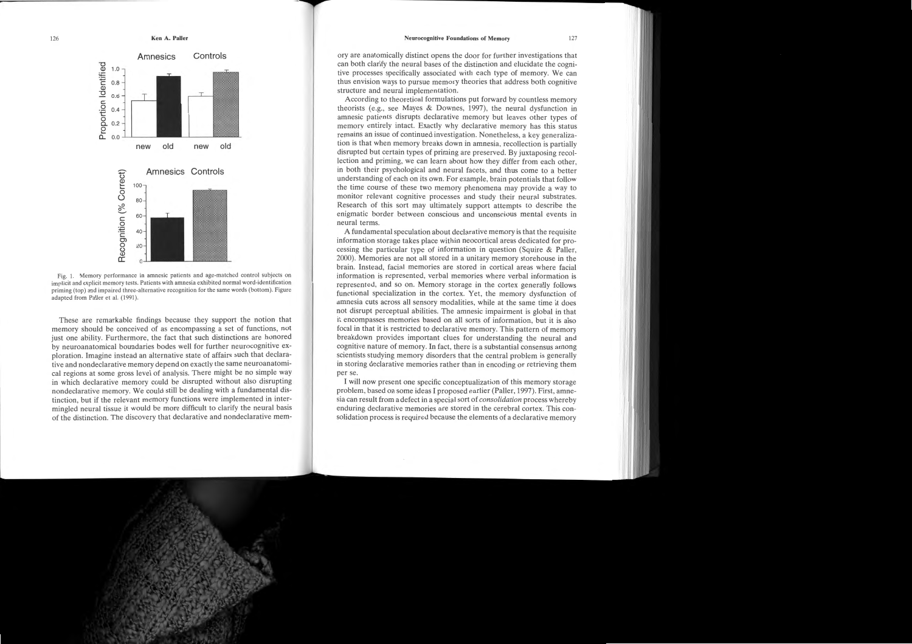

Fig. 1. Memory performance in amnesic patients and age-matched control subjects on implicit and explicit memory tests. Patients with amnesia exhibited normal word-identification priming (top) and impaired three-alternative recognition for the same words (bottom). Figure adapted from Paller et al. (1991).

These are remarkable findings because they support the notion that memory should be conceived of as encompassing a set of functions, not just one ability. Furthermore, the fact that such distinctions are honored by neuroanatomical boundaries bodes well for further neurocognitive exploration. Imagine instead an alternative state of affairs such that declarative and nondeclarative memory depend on exactly the same neuroanatomical regions at some gross level of analysis. There might be no simple way in which declarative memory could be disrupted without also disrupting nondeclarative memory. We could still be dealing with a fundamental distinction, but if the relevant memory functions were implemented in intermingled neural tissue it would be more difficult to clarify the neural basis of the distinction. The discovery that declarative and nondeclarative memNeurocognitive Foundations of Memory 127<br>ory are anatomically distinct opens the door for further investigations that<br>can both clarify the neural bases of the distinction and elucidate the cogni-<br>tive processes specificall

thus envision ways to pursue memory theories that address both cognitive<br>structure and neural implementation.<br>According to theoretical formulations put forward by countless memory<br>theorists (e.g., see Mayes & Downes, 1997) tion is that when memory breaks down in amnesia, recollection is partially disrupted but certain types of priming are preserved. By juxtaposing recollection and priming, we can learn about how they differ from each other, lection and priming, we can learn about how they differ from each other,<br>in both their psychological and neural facets, and thus come to a better<br>understanding of each on its own. For example, brain potentials that follow<br>

cessing the particular type of information in question (Squire & Paller, 2000). Memories are not all stored in a unitary memory storehouse in the brain. Instead, facial memories are stored in cortical areas where facial in

sia can result from a defect in a special sort of *consolidation* process whereby enduring declarative memories are stored in the cerebral cortex. This con solidation process is required because the elements of a declarative memory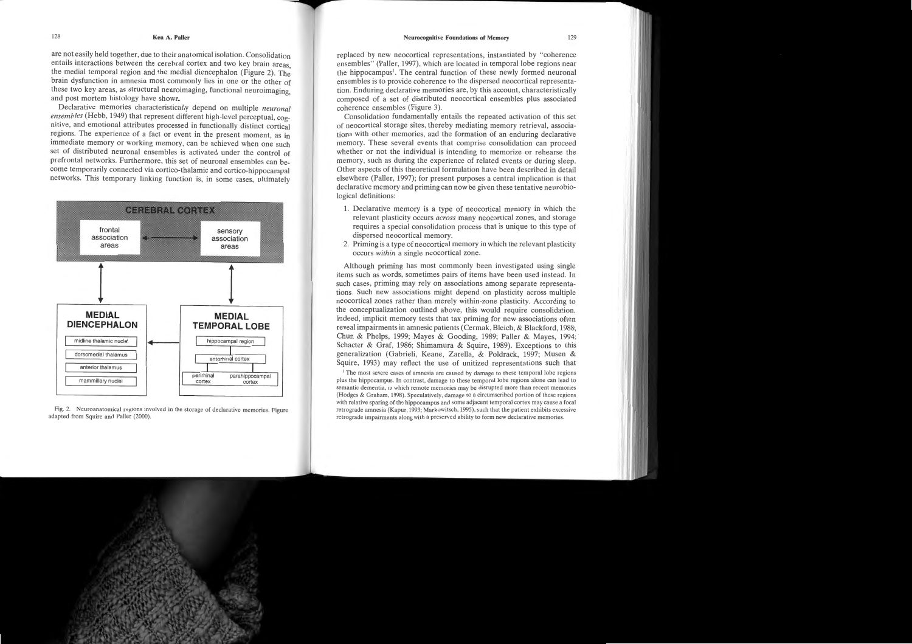are not easily held together, due to their anatomical isolation. Consolidation entails interactions between the cerebral cortex and two key brain areas, the medial temporal region and the medial diencephalon (Figure 2). The brain dysfunction in amnesia most commonly lies in one or the other of these two key areas, as structural neuroimaging, functional neuroimaging, and post mortem histology have shown.

Declarative memories characteristically depend on multiple *neuronal ensembles* (Hebb, 1949) that represent different high-level perceptual, cognitive, and emotional attributes processed in functionally distinct cortical regions. The experience of a fact or event in the present moment, as in immediate memory or working memory, can be achieved when one such set of distributed neuronal ensembles is activated under the control of prefrontal networks. Furthermore, this set of neuronal ensembles can become temporarily connected via cortico-thalamic and cortico-hippocampal networks. This temporary linking function is, in some cases, ultimately



Fig. 2. Neuroanatomical regions involved in the storage of declarative memories. Figure adapted from Squire and Faller (2000).

replaced by new neocortical representations, instantiated by "coherence ensembles" (Paller, 1997), which are located in temporal lobe regions near the hippocampus<sup>1</sup>. The central function of these newly formed neuronal ensembles is to provide coherence to the dispersed neocortical representation. Enduring declarative memories are, by this account, characteristically composed of a set of distributed neocortical ensembles plus associated coherence ensembles (Figure 3).

Consolidation fundamentally entails the repeated activation of this set of neocortical storage sites, thereby mediating memory retrieval, associations with other memories, and the formation of an enduring declarative memory. These several events that comprise consolidation can proceed whether or not the individual is intending to memorize or rehearse the memory, such as during the experience of related events or during sleep. Other aspects of this theoretical formulation have been described in detail elsewhere (Paller, 1997); for present purposes a central implication is that declarative memory and priming can now be given these tentative neurobiological definitions:

- 1. Declarative memory is a type of neocortical memory in which the relevant plasticity occurs *across* many neocortical zones, and storage requires a special consolidation process that is unique to this type of dispersed neocortical memory.
- 2. Priming is a type of neocortical memory in which the relevant plasticity occurs *within* a single neocortical zone.

Although priming has most commonly been investigated using single items such as words, sometimes pairs of items have been used instead. In such cases, priming may rely on associations among separate representations. Such new associations might depend on plasticity across multiple neocortical zones rather than merely within-zone plasticity. According to the conceptualization outlined above, this would require consolidation. Indeed, implicit memory tests that tax priming for new associations often reveal impairments in amnesic patients (Cermak, Bleich, & Blackford, 1988; Chun & Phelps, 1999; Mayes & Gooding, 1989; Paller & Mayes, 1994; · Schacter & Graf, 1986; Shimamura & Squire, 1989). Exceptions to this generalization (Gabrieli, Keane, Zarella, & Poldrack, 1997; Musen & Squire, 1993) may reflect the use of unitized representations such that

 $1$ <sup>1</sup> The most severe cases of amnesia are caused by damage to these temporal lobe regions plus the hippocampus. In contrast, damage to these temporal lobe regions alone can lead to semantic dementia , in which remote memories may be disrupted more than recent memories (Hodges & Graham, 1998). Speculatively, damage to a circumscribed portion of these regions with relative sparing of the hippocampus and some adjacent temporal cortex may cause a focal retrograde amnesia (Kapur, 1993; Markowitsch, 1995), such that the patient exhibits excessive retrograde impairments along with a preserved ability to form new declarative memories.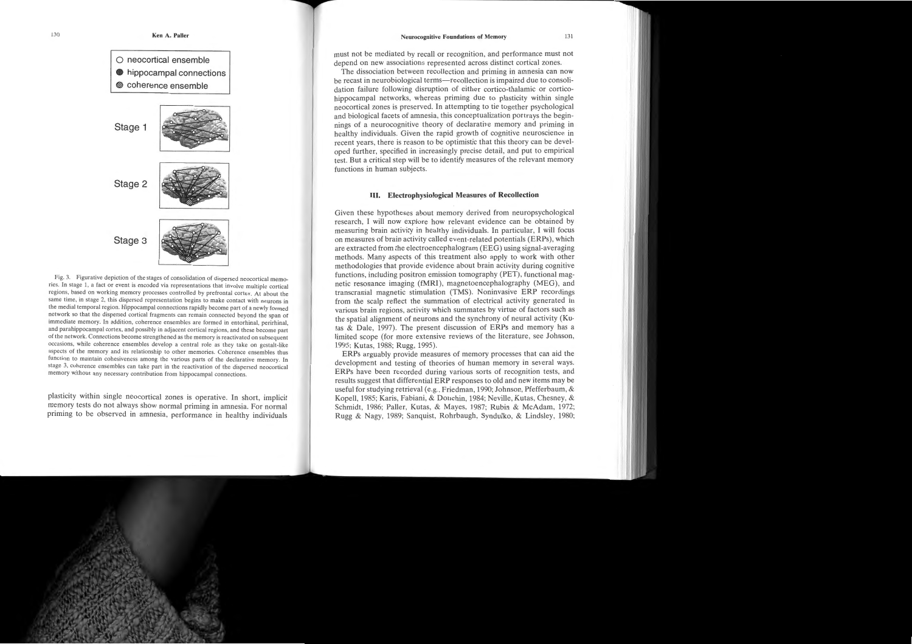#### Neurocognitive Foundations of Memory 131

O neocortical ensemble  $\bullet$  hippocampal connections *@>* coherence ensemble

Fig. 3. Figurative depiction of the stages of consolidation of dispersed neocortical memories. In stage 1, a fact or event is encoded via representations that involve multiple cortical regions, based on working memory processes controlled by prefrontal cortex. At about the same time, in stage 2, this dispersed representation begins to make contact with neurons in the medial temporal region. Hippocampal connections rapidly become part of a newly formed network so that the dispersed cortical fragments can remain connected beyond the span of immediate memory. In addition, coherence ensembles are formed in entorhinal, perirhinal, and parahippocampal cortex, and possibly in adjacent cortical regions, and these become part of the network. Connections become strengthened as the memory is reactivated on subsequent occasions, while coherence ensembles develop a central role as they take on gestalt-like aspects of the memory and its relationship to other memories. Coherence ensembles thus function to maintain cohesiveness among the various parts of the declarative memory. In stage 3, coherence ensembles can take part in the reactivation of the dispersed neocortical memory without any necessary contribution from hippocampal connections.

plasticity within single neocortical zones is operative. In short, implicit memory tests do not always show normal priming in amnesia. For normal priming to be observed in amnesia, performance in healthy individuals must not be mediated by recall or recognition, and performance must not depend on new associations represented across distinct cortical zones.

The dissociation between recollection and priming in amnesia can now be recast in neurobiological terms-recollection is impaired due to consolidation failure following disruption of either cortico-thalamic or corticohippocampal networks, whereas priming due to plasticity within single neocortical zones is preserved. In attempting to tie together psychological and biological facets of amnesia, this conceptualization portrays the beginnings of a neurocognitive theory of declarative memory and priming in healthy individuals. Given the rapid growth of cognitive neuroscience in recent years, there is reason to be optimistic that this theory can be developed further, specified in increasingly precise detail, and put to empirical test. But a critical step will be to identify measures of the relevant memory functions in human subjects.

#### III. Electrophysiological Measures of Recollection

Given these hypotheses about memory derived from neuropsychological research, I will now explore how relevant evidence can be obtained by measuring brain activity in healthy individuals. In particular, I will focus on measures of brain activity called event-related potentials (ERPs), which are extracted from the electroencephalogram (EEG) using signal-averaging methods. Many aspects of this treatment also apply to work with other methodologies that provide evidence about brain activity during cognitive functions, including positron emission tomography (PET), functional magnetic resonance imaging (fMRI), magnetoencephalography (MEG), and transcranial magnetic stimulation (TMS). Noninvasive ERP recordings from the scalp reflect the summation of electrical activity generated in various brain regions, activity which summates by virtue of factors such as the spatial alignment of neurons and the synchrony of neural activity (Kutas & Dale, 1997). The present discussion of ERPs and memory has a limited scope (for more extensive reviews of the literature, see Johnson, 1995; Kutas, 1988; Rugg, 1995).

ERPs arguably provide measures of memory processes that can aid the development and testing of theories of human memory in several ways. ERPs have been recorded during various sorts of recognition tests, and results suggest that differential ERP responses to old and new items may be useful for studying retrieval (e.g., Friedman, 1990; Johnson, Pfefferbaum, & Kopell, 1985; Karis, Fabiani, & Donchin, 1984; Neville, Kutas, Chesney, & Schmidt, 1986; Paller, Kutas, & Mayes, 1987; Rubin & McAdam, 1972; Rugg & Nagy, 1989; Sanquist, Rohrbaugh, Syndulko, & Lindsley, 1980;



Stage 3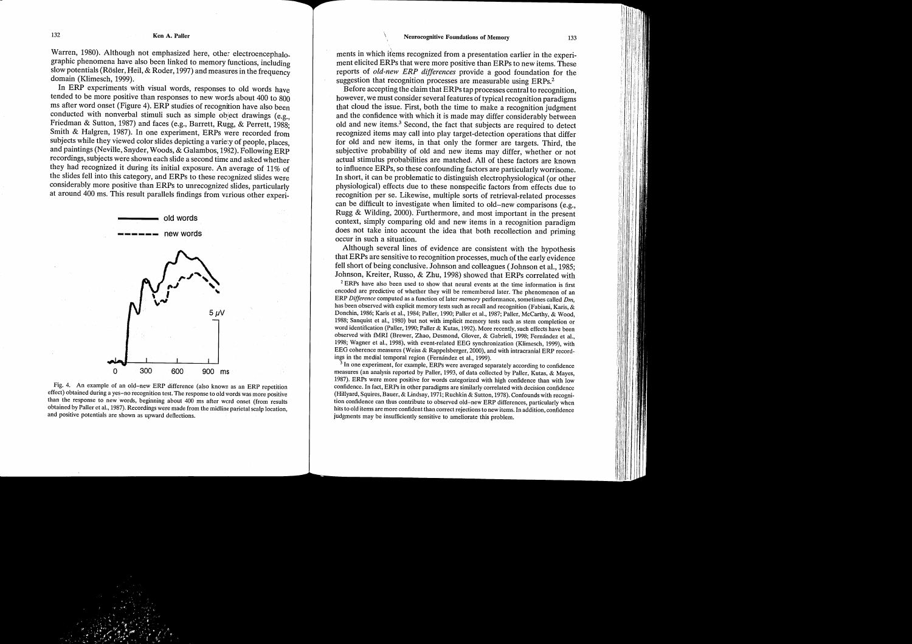Warren, 1980). Although not emphasized here, other electroencephalographic phenomena have also been linked to memory functions, including slow potentials (Rösler, Heil, & Roder, 1997) and measures in the frequency domain (Klimesch, 1999).

In ERP experiments with visual words, responses to old words have tended to be more positive than responses to new words about 400 to 800 ms after word onset (Figure 4). ERP studies of recognition have also been conducted with nonverbal stimuli such as simple object drawings (e.g., Friedman & Sutton, 1987) and faces (e.g., Barrett, Rugg, & Perrett, 1988; Smith & Halgren, 1987). In one experiment, ERPs were recorded from subjects while they viewed color slides depicting a variety of people, places, and paintings (Neville, Snyder, Woods, & Galambos, 1982). Following ERP recordings, subjects were shown each slide a second time and asked whether they had recognized it during its initial exposure. An average of 11% of the slides fell into this category, and ERPs to these recognized slides were considerably more positive than ERPs to unrecognized slides, particularly at around 400 ms. This result parallels findings from various other experi-



Fig. 4. An example of an old-new ERP difference (also known as an ERP repetition effect) obtained during a yes-no recognition test. The response to old words was more positive than the response to new words, beginning about 400 ms after word onset (from results obtained by Paller et al., 1987). Recordings were made from the midline parietal scalp location, and positive potentials are shown as upward deflections.

ments in which items recognized from a presentation earlier in the experiment elicited ERPs that were more positive than ERPs to new items. These reports of *old-new ERP differences* provide a good foundation for the suggestion that recognition processes are measurable using ERPs.<sup>2</sup>

Before accepting the claim that ERPs tap processes central to recognition, however, we must consider several features of typical recognition paradigms that cloud the issue. First, both the time to make a recognition judgment and the confidence with which it is made may differ considerably between old and new items.3 Second, the fact that subjects are required to detect recognized items may call into play target-detection operations that differ for old and new items, in that only the former are targets. Third, the subjective probability of old and new items may differ, whether or not actual stimulus probabilities are matched. All of these factors are known to influence ERPs, so these confounding factors are particularly worrisome. In short, it can be problematic to distinguish electrophysiological (or other physiological) effects due to these nonspecific factors from effects due to recognition per se. Likewise, multiple sorts of retrieval-related processes can be difficult to investigate when limited to old-new comparisons (e.g., Rugg & Wilding, 2000). Furthermore, and most important in the present context, simply comparing old and new items in a recognition paradigm does not take into account the idea that both recollection and priming occur in such a situation.

Although several lines of evidence are consistent with the hypothesis that ERPs are sensitive to recognition processes, much of the early evidence fell short of being conclusive. Johnson and colleagues (Johnson et al., 1985; Johnson, Kreiter, Russo, & Zhu, 1998) showed that ERPs correlated with

<sup>2</sup> ERPs have also been used to show that neural events at the time information is first encoded are predictive of whether they will be remembered later. The phenomenon of an ERP *Difference* computed as a function of later *memory* performance, sometimes called *Dm,*  has been observed with explicit memory tests such as recall and recognition (Fabiani, Karis, & Donchin, 1986; Karis et al., 1984; Paller, 1990; Paller et al., 1987; Paller, McCarthy, & Wood, 1988; Sanquist et al., 1980) but not with implicit memory tests such as stem completion or word identification (Paller, 1990; Paller & Kutas, 1992). More recently, such effects have been observed with fMRI (Brewer, Zhao, Desmond, Glover, & Gabrieli, 1998; Fernández et al., 1998; Wagner et al., 1998), with event-related EEG synchronization (Klimesch, 1999), with EEG coherence measures (Weiss & Rappelsberger, 2000), and with intracranial ERP recordings in the medial temporal region (Fernández et al., 1999).

<sup>3</sup> In one experiment, for example, ERPs were averaged separately according to confidence measures (an analysis reported by Paller, 1993, of data collected by Paller, Kutas, & Mayes, 1987). ERPs were more positive for words categorized with high confidence than with low confidence. In fact, ERPs in other paradigms are similarly correlated with decision confidence (Hillyard, Squires, Bauer, & Lindsay, 1971; Ruchkin & Sutton, 1978). Confounds with recognition confidence can thus contribute to observed old-new ERP differences, particularly when hits to old items are more confident than correct rejections to new items. In addition, confidence judgments may be insufficiently sensitive to ameliorate this problem.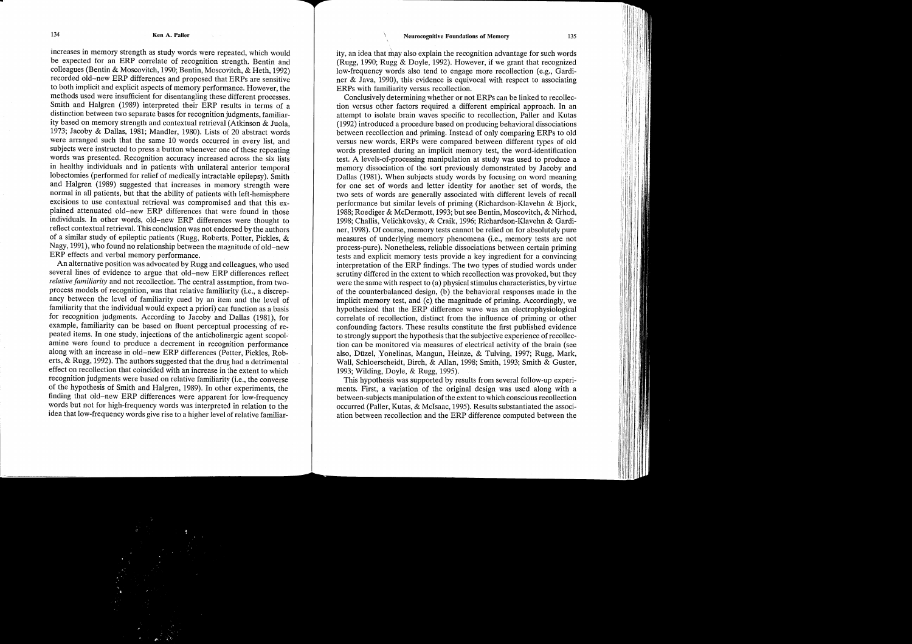increases in memory strength as study words were repeated, which would be expected for an ERP correlate of recognition strength. Bentin and colleagues (Bentin & Moscovitch, 1990; Bentin, Moscovitch, & Heth, 1992) recorded old-new ERP differences and proposed that ERPs are sensitive to both implicit and explicit aspects of memory performance. However, the methods used were insufficient for disentangling these different processes. Smith and Halgren (1989) interpreted their ERP results in terms of a distinction between two separate bases for recognition judgments, familiarity based on memory strength and contextual retrieval (Atkinson & Juola, 1973; Jacoby & Dallas, 1981; Mandler, 1980). Lists of 20 abstract words were arranged such that the same 10 words occurred in every list, and subjects were instructed to press a button whenever one of these repeating words was presented. Recognition accuracy increased across the six lists in healthy individuals and in patients with unilateral anterior temporal lobectomies (performed for relief of medically intractable epilepsy). Smith and Halgren (1989) suggested that increases in memory strength were normal in all patients, but that the ability of patients with left-hemisphere excisions to use contextual retrieval was compromised and that this explained attenuated old-new ERP differences that were found in those individuals. In other words, old-new ERP differences were thought to reflect contextual retrieval. This conclusion was not endorsed by the authors of a similar study of epileptic patients (Rugg, Roberts, Potter, Pickles, & Nagy, 1991), who found no relationship between the magnitude of old-new ERP effects and verbal memory performance.

An alternative position was advocated by Rugg and colleagues, who used several lines of evidence to argue that old-new ERP differences reflect *relative familiarity* and not recollection. The central assumption, from twoprocess models of recognition, was that relative familiarity (i.e., a discrepancy between the level of familiarity cued by an item and the level of familiarity that the individual would expect a priori) can function as a basis for recognition judgments. According to Jacoby and Dallas (1981), for example, familiarity can be based on fluent perceptual processing of repeated items. In one study, injections of the anticholinergic agent scopolamine were found to produce a decrement in recognition performance along with an increase in old-new ERP differences (Potter, Pickles, Roberts, & Rugg, 1992). The authors suggested that the drug had a detrimental effect on recollection that coincided with an increase in the extent to which recognition judgments were based on relative familiarity (i.e., the converse of the hypothesis of Smith and Halgren, 1989). In other experiments, the finding that old-new ERP differences were apparent for low-frequency words but not for high-frequency words was interpreted in relation to the idea that low-frequency words give rise to a higher level of relative familiarity, an idea that may also explain the recognition advantage for such words (Rugg, 1990; Rugg & Doyle, 1992). However, if we grant that recognized low-frequency words also tend to engage more recollection (e.g., Gardiner & Java, 1990), this' evidence is equivocal with respect to associating ERPs with familiarity versus recollection.

Conclusively determining whether or not ERPs can be linked to recollection versus other factors required a different empirical approach. In an attempt to isolate brain waves specific to recollection, Paller and Kutas (1992) introduced a procedure based on producing behavioral dissociations between recollection and priming. Instead of only comparing ERPs to old versus new words, ERPs were compared between different types of old words presented during an implicit memory test, the word-identification test. A levels-of-processing manipulation at study was used to produce a memory dissociation. of the sort previously demonstrated by Jacoby and Dallas (1981). When subjects study words by focusing on word meaning for one set of words and letter identity for another set of words, the two sets of words are generally associated with different levels of recall performance but similar levels of priming (Richardson-Klavehn & Bjork, 1988; Roediger & McDermott, 1993; but see Bentin, Moscovitch, & Nirhod, 1998; Challis, Velichkovsky, & Craik, 1996; Richardson-Klavehn & Gardiner, 1998). Of course, memory tests cannot be relied on for absolutely pure measures of underlying memory phenomena (i.e., memory tests are not process-pure). Nonetheless, reliable dissociations between certain priming tests and explicit memory tests provide a key ingredient for a convincing interpretation of the ERP findings. The two types of studied words under scrutiny differed in the extent to which recollection was provoked, but they were the same with respect to (a) physical stimulus characteristics, by virtue of the counterbalanced design, (b) the behavioral responses made. in the implicit memory test, and (c). the magnitude of priming. Accordingly, we hypothesized that the ERP difference wave was an electrophysiological correlate of-recollection, distinct from the influence of priming or other confounding factors. These results constitute the first published evidence to strongly support the hypothesis that the subjective experience of recollection can be monitored via measures of electrical activity of the brain (see also, Düzel, Yonelinas, Mangun, Heinze, & Tulving, 1997; Rugg, Mark, Wall, Schloerscheidt, Birch, & Allan, 1998; Smith, 1993; Smith & Guster, 1993; Wilding, Doyle, & Rugg, 1995).

This hypothesis was supported by results from several follow-up experiments. First, a variation of the original design was used along with a between-subjects manipulation of the extent to which conscious recollection occurred (Paller, Kutas, & Mcisaac, 1995). Results substantiated the association between recollection and the ERP difference computed between the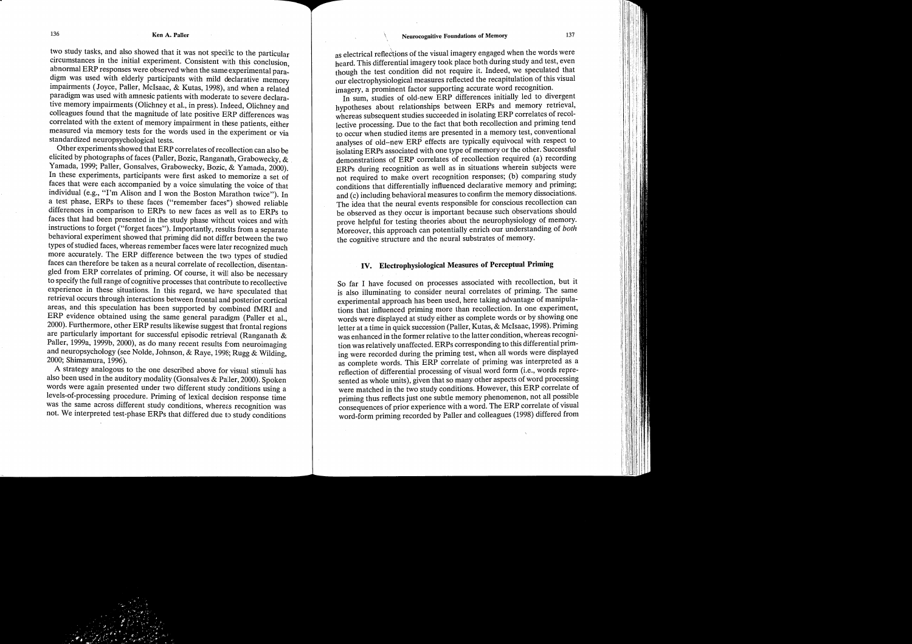two study tasks, and also showed that it was not specific to the particular circumstances in the initial experiment. Consistent with this conclusion, abnormal ERP responses were observed when the same experimental paradigm was used with elderly participants with mild declarative memory impairments (Joyce, Paller, Mcisaac, & Kutas, 1998), and when a related paradigm was used with amnesic patients with moderate to severe declarative memory impairments (Olichney et al., in press). Indeed, Olichney and colleagues found that the magnitude of late positive ERP differences was correlated with the extent of memory impairment in these patients, either measured via memory tests for the words used in the experiment or via standardized neuropsychological tests.

Other experiments showed that ERP correlates of recollection can also be elicited by photographs of faces (Paller, Bozic, Ranganath, Grabowecky,  $\&$ Yamada, 1999; Paller, Gonsalves, Grabowecky, Bozic, & Yamada, 2000). In these experiments, participants were first asked to memorize a set of faces that were each accompanied by a voice simulating the voice of that individual (e.g., "I'm Alison and I won the Boston Marathon twice"). In a test phase, ERPs to these faces ("remember faces") showed reliable differences in comparison to ERPs to new faces as well as to ERPs to faces that had been presented in the study phase without voices and with instructions to forget ("forget faces"). Importantly, results from a separate behavioral experiment showed that priming did not differ between the two types of studied faces, whereas remember faces were later recognized much more accurately. The ERP difference between the two types of studied faces can therefore be taken as a neural correlate of recollection, disentangled from ERP correlates of priming. Of course, it will also be necessary to specify the full range of cognitive processes that contribute to recollective experience in these situations. In this regard, we have speculated that retrieval occurs through interactions between frontal and posterior cortical areas, and this speculation has been supported by combined fMRI and ERP evidence obtained using the same general paradigm (Paller et al., 2000). Furthermore, other ERP results likewise suggest that frontal regions are particularly important for successful episodic retrieval (Ranganath & Paller, 1999a, 1999b, 2000), as do many recent results from neuroimaging and neuropsychology (see Nolde, Johnson, & Raye, 1998; Rugg & Wilding, 2000; Shimamura, 1996).

A strategy analogous to the one described above for visual stimuli has also been used in the auditory modality (Gonsalves & Paller, 2000). Spoken words were again presented under two different study conditions using a levels-of-processing procedure. Priming of lexical decision response time was the same across different study conditions, whereas recognition was not. We interpreted test-phase ERPs that differed due to study conditions as electrical reflections of the visual imagery engaged when the words were heard. This differential imagery took place both during study and test, even though the test condition did not require it. Indeed, we speculated that our electrophysiological measures reflected the recapitulation of this visual imagery, a prominent factor supporting accurate word recognition.

In sum, studies of old-new ERP differences initially led to divergent hypotheses about relationships between ERPs and memory retrieval, whereas subsequent studies succeeded in isolating ERP correlates of recollective processing. Due to the fact that both recollection and priming tend to occur when studied items are presented in a memory test, conventional analyses of old-new ERP effects are typically equivocal with respect to isolating ERPs associated with one type of memory or the other. Successful demonstrations of ERP correlates of recollection required (a) recording ERPs during recognition as well as in situations wherein subjects were not required to make overt recognition responses; (b) comparing study conditions that differentially influenced declarative memory and priming; and (c) including behavioral measures to confirm the memory dissociations. The idea that the neural events responsible for conscious recollection can be observed as they occur is important because such observations should prove helpful for testing theories about the neurophysiology of memory. Moreover, this approach can potentially enrich our understanding of *both*  the cognitive structure and the neural substrates of memory.

## IV. **Electrophysiological** Measures **of Perceptual Priming**

So far I have focused on processes associated with recollection, but it is also illuminating to consider neural correlates of priming. The same experimental approach has been used, here taking advantage of manipulations that influenced priming more than recollection. In one experiment, words were displayed at study either as complete words or by showing one letter at a time in quick succession (Paller, Kutas, & Mcisaac, 1998). Priming was enhanced in the former relative to the latter condition, whereas recognition was relatively unaffected. ERPs corresponding to this differential priming were recorded during the priming test, when all words were displayed as complete words. This ERP correlate of priming was interpreted as a reflection of differential processing of visual word form (i.e., words represented as whole units), given that so many other aspects of word processing were matched in the two study conditions. However, this ERP correlate of priming thus reflects just one subtle memory phenomenon, not all possible consequences of prior experience with a word. The ERP correlate of visual word-form priming recorded by Paller and colleagues (1998) differed from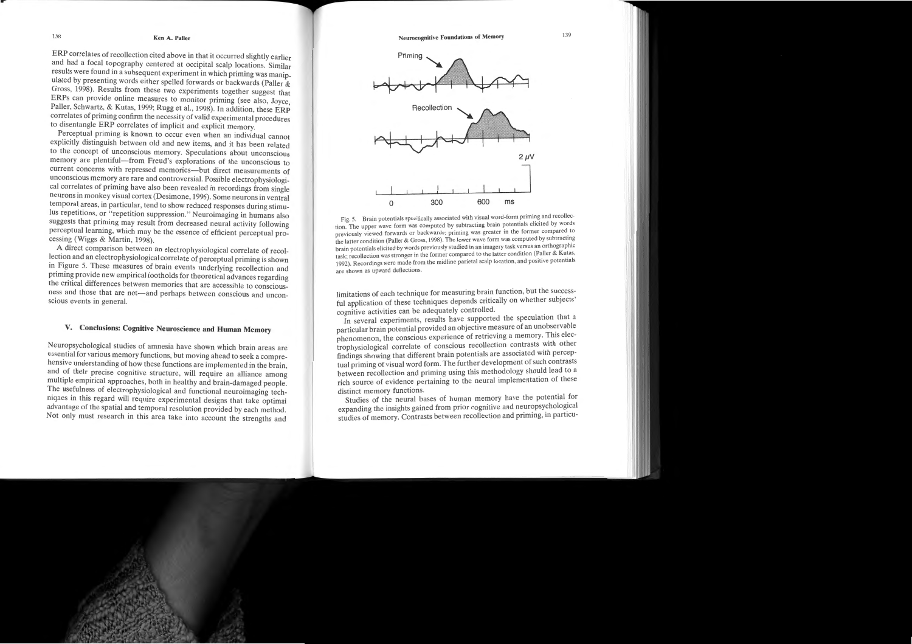ERP correlates of recollection cited above in that it occurred slightly earlier and had a focal topography centered at occipital scalp locations. Similar results were found in a subsequent experiment in which priming was manipulated by presenting words either spelled forwards or backwards (Paller & Gross, 1998). Results from these two experiments together suggest that ERPs can provide online measures to monitor priming (see also, Joyce, Paller, Schwartz, & Kutas, 1999; Rugg et al., 1998). In addition, these ERP correlates of priming confirm the necessity of valid experimental procedures to disentangle ERP correlates of implicit and explicit memory.

Perceptual priming is known to occur even when an individual cannot explicitly distinguish between old and new items, and it has been related to the concept of unconscious memory. Speculations about unconscious memory are plentiful-from Freud's explorations of the unconscious to current concerns with repressed memories-but direct measurements of unconscious memory are rare and controversial. Possible electrophysiological correlates of priming have also been revealed in recordings from single neurons in monkey visual cortex (Desimone, 1996). Some neurons in ventral temporal areas, in particular, tend to show reduced responses during stimulus repetitions, or "repetition suppression." Neuroimaging in humans also suggests that priming may result from decreased neural activity following perceptual learning, which may be the essence of efficient perceptual processing (Wiggs & Martin, 1998).

A direct comparison between an electrophysiological correlate of recollection and an electrophysiological correlate of perceptual priming is shown in Figure 5. These measures of brain events underlying recollection and priming provide new empirical footholds for theoretical advances regarding the critical differences between memories that are accessible to consciousness and those that are not-and perhaps between conscious and unconscious events in general.

# V. Conclusions: Cognitive Neuroscience and Human Memory

Neuropsychological studies of amnesia have shown which brain areas are essential for various memory functions, but moving ahead to seek a comprehensive understanding of how these functions are implemented in the brain, and of their precise cognitive structure, will require an alliance among multiple empirical approaches, both in healthy and brain-damaged people. The usefulness of electrophysiological and functional neuroimaging techniques in this regard will require experimental designs that take optimal advantage of the spatial and temporal resolution provided by each method. Not only must research in this area take into account the strengths and



Fig. 5. Brain potentials specifically associated with visual word-form priming and recollection. The upper wave form was computed by subtracting brain potentials elicited by words previously viewed forwards or backwards; priming was greater in the former compared to the latter condition (Paller & Gross, 1998). The lower wave form was computed by subtracting brain potentials elicited by words previously studied in an imagery task versus an orthographic task; recollection was stronger in the former compared to the latter condition (Paller & Kutas, 1992). Recordings were made from the midline parietal scalp location, and positive potentials are shown as upward deflections.

limitations of each technique for measuring brain function , but the successful application of these techniques depends critically on whether subjects' cognitive activities can be adequately controlled.

In several experiments, results have supported the speculation that a particular brain potential provided an objective measure of an unobservable phenomenon, the conscious experience of retrieving a memory. This electrophysiological correlate of conscious recollection contrasts with other findings showing that different brain potentials are associated with perceptual priming of visual word form. The further development of such contrasts between recollection and priming using this methodology should lead to a rich source of evidence pertaining to the neural implementation of these distinct memory functions.

Studies of the neural bases of human memory have the potential for expanding the insights gained from prior cognitive and neuropsychological studies of memory. Contrasts between recollection and priming, in particu-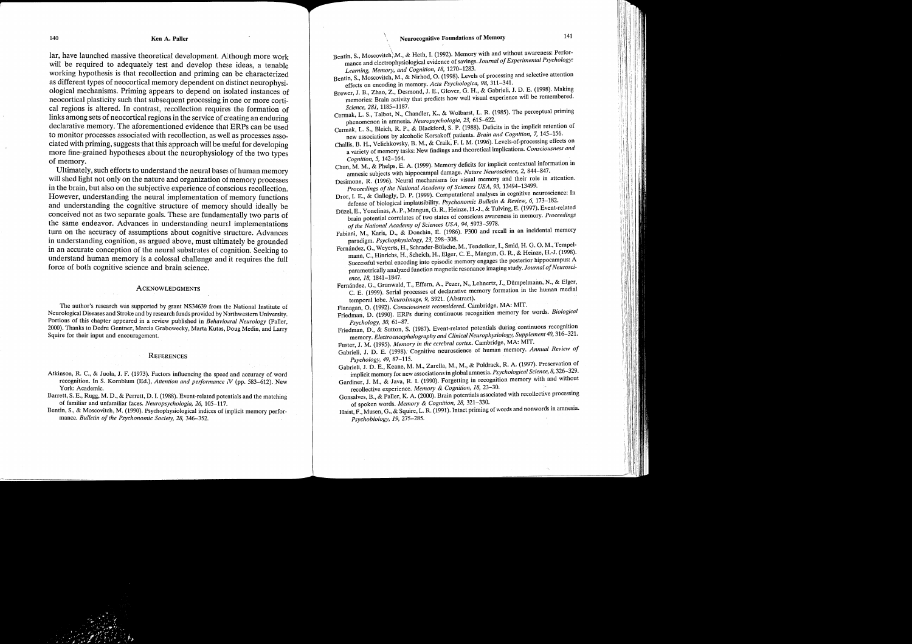lar, have launched massive theoretical development. Although more work will be required to adequately test and develop these ideas, a tenable working hypothesis is that recollection and priming can be characterized as different types of neocortical memory dependent on distinct neurophysiological mechanisms. Priming appears to depend on isolated instances of neocortical plasticity such that subsequent processing in one or more cortical regions is altered. In contrast, recollection requires the formation of links among sets of neocortical regions in the service of creating an enduring declarative memory. The aforementioned evidence that ERPs can be used to monitor processes associated with recollection, as well as processes associated with priming, suggests that this approach will be useful for developing more fine-grained hypotheses about the neurophysiology of the two types of memory.

Ultimately, such efforts to understand the neural bases of human memory will shed light not only on the nature and organization of memory processes in the brain, but also on the subjective experience of conscious recollection. However, understanding the neural implementation of memory functions and understanding the cognitive structure of memory should ideally be conceived not as two separate goals. These are fundamentally two parts of the same endeavor. Advances in understanding neural implementations turn on the accuracy of assumptions about cognitive structure. Advances in understanding cognition, as argued above, must ultimately be grounded in an accurate conception of the neural substrates of cognition. Seeking to understand human memory is a colossal challenge and it requires the full force of both cognitive science and brain science.

#### **ACKNOWLEDGMENTS**

The author's research was supported by grant NS34639 from the National Institute of Neurological Diseases and Stroke and by research funds provided by Northwestern University. Portions of this chapter appeared in a review published in *Behavioural Neurology* (Faller, 2000). Thanks to Dedre Gentner, Marcia Grabowecky, Marta Kutas, Doug Medin, and Larry Squire for their input and encouragement.

#### **REFERENCES**

- Atkinson, R. C., & Juola, J. F. (1973). Factors influencing the speed and accuracy of word recognition. In S. Kornblum (Ed.), *Attention and performance IV* (pp. 583-612). New York: Academic.
- Barrett, S. E., Rugg, M. D., & Perrett, D. I. (1988). Event-related potentials and the matching of familiar and unfamiliar faces. *Neuropsychologia, 26,* 105-117.
- Bentin, S., & Moscovitch, M. (1990). Psychophysiological indices of implicit memory performance. *Bulletin of the Psychonomic Society, 28,* 346-352.

Bentin, S., Moscovitch;,M., & Heth, I. (1992). Memory with and without awareness: Performance and electrophysiological evidence of savings. *Journal of Experimental Psychology: Learning, Memory, and Cognition, 18,* 1270-1283.

- Bentin, S., Moscovitch, M., & Nirhod, 0. (1998). Levels of processing and selective attention effects on encoding in memory. *Acta Psychologica, 98,* 311-341.
- Brewer, J. B., Zhao, Z., Desmond, J.E., Glover, G. H., & Gabrieli, J. D. E. (1998). Making memories: Brain activity that predicts how well visual experience will be remembered. *Science, 281,* 1185-1187.
- Cermak, L. S., Talbot, N., Chandler, K., & Wolbarst, L. R. (1985). The perceptual priming phenomenon in amnesia. *Neuropsychologia, 23,* 615-622.
- Cermak, L. S., Bleich, R. P., & Blackford, S. P. (1988). Deficits in the implicit retention of new associations by alcoholic Korsakoff patients. *Brain and Cognition,* 7, 145-156.
- Challis, B. H., Velichkovsky, B. M., & Craik; F. I. M. (1996). Levels-of-processing effects on a variety of memory tasks: New findings and theoretical implications. *Consciousness and Cognition,* 5, 142-164.
- Chun, M. M., & Phelps, E. A. (1999). Memory deficits for implicit contextual information in amnesic subjects with hippocampal damage. *Nature Neuroscience, 2,* 844-847.
- Desimone, R. (1996). Neural mechanisms for visual memory and their role in attention. *Proceedings of the National Academy of Sciences USA, 93,* 13494-13499.
- Dror, I. E., & Gallogly, D. P. (1999). Computational analyses in cognitive neuroscience: In defense of biological implausibility. *Psychonomic Bulletin* & *Review,* 6, 173-182.
- Dilzel, E., Yonelinas, A. P., Mangun, G. R., Heinze, H.-J., & Tulving, E. (1997). Event-related brain potential correlates of two states of conscious awareness in memory. *Proceedings of the National Academy of Sciences USA, 94,* 5973-5978.
- Fabiani, M., Karis, D., & Donchin, E. (1986). P300 and recall in an incidental memory paradigm. *Psychophysiology, 23,* 298-308.
- Fernandez, G., Weyerts, H., Schrader-Bolsche, M., Tendolkar, I., Smid, H. G. 0. M., Tempelmann, C., Hinrichs, H., Scheich, H., Elger, C. E., Mangun, G. R., & Heinze, H.-J. (1998). Successful verbal encoding into episodic memory engages the posterior hippocampus: A parametrically analyzed function magnetic resonance imaging study. *Journal of Neuroscience, 18,* 1841-1847.
- Fernandez, G., Grunwald, T., Effern, A., Pezer, N., Lehnertz, J., Dilmpelmaim, N., & Elger, C. E. (1999). Serial processes of declarative memory formation in the human medial temporal lobe. *Neurolmage, 9,* S921. (Abstract).
- Flanagan, 0. (1992). *Consciousness reconsidered.* Cambridge, MA: MIT.
- Friedman, D. (1990). ERPs during continuous recognition memory for words. *Biological Psychology, 30,* 61-87.
- Friedman, D., & Sutton, S. (1987). Event-related potentials during continuous recognition memory. *Electroencephalography and Clinical Neurophysiology, Supplement 40, 316-321.* Fuster, J. M. (1995). *Memory in the cerebral cortex.* Cambridge, MA: MIT.
- Gabrieli, J. D. E. (1998). Cognitive neuroscience of human memory. *Annual Review of*
- *Psychology, 49,* 87-115. Gabrieli, J. D. E., Keane, M. M., Zarella, M., M., & Poldrack, R. A. (1997). Preservation of implicit memory for new associations in global amnesia. *Psychological Science, 8,* 326-329.
- Gardiner, J. M., & Java, R. I. (1990). Forgetting in recognition memory with and without recollective experience. *Memory* & *Cognition, 18,* 23-30.
- Gonsalves, B., & Faller, K. A. (2000). Brain potentials associated with recollective processing of spoken words. *Memory* & *Cognition, 28,* 321-330.
- Haist, F., Musen, G., & Squire, L. R. (1991). Intact priming of words and nonwords in amnesia. *Psychobiology, 19,* 275-285.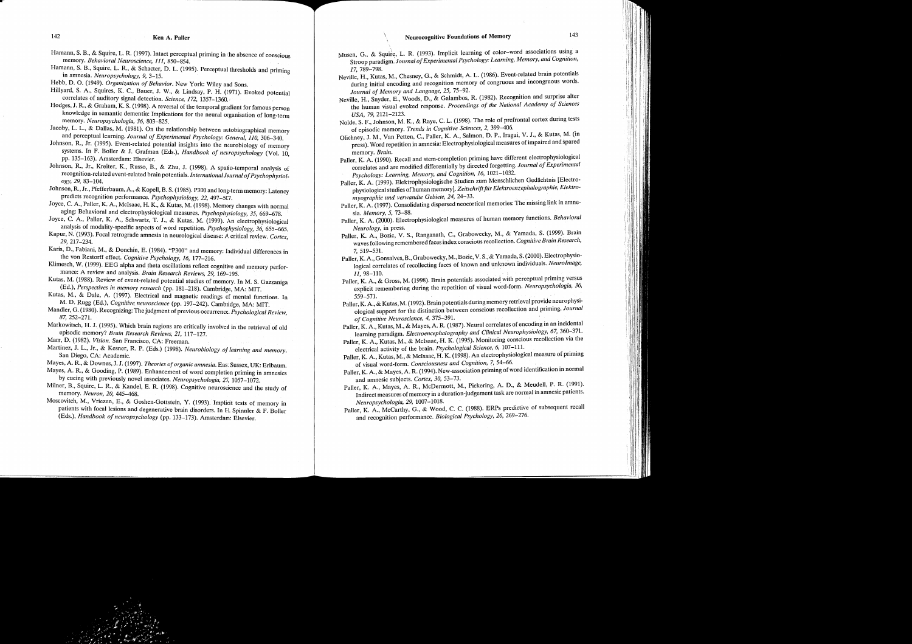- Hamann, S. B., & Squire, L. R. (1997). Intact perceptual priming in the absence of conscious memory. *Behavioral Neuroscience, 111,* 850-854.
- Hamann, S. B., Squire, L. R., & Schacter, D. L. (1995). Perceptual thresholds and priming in amnesia. *Neuropsychology, 9,* 3-15.
- Hebb, D. 0. (1949). *Organization of Behavior.* New York: Wiley and Sons.
- Hillyard, S. A., Squires, K. C., Bauer, J. W., & Lindsay, P. H. (1971). Evoked potential correlates of auditory signal detection. *Science*, 172, 1357-1360.
- Hodges, J. R., & Graham, K. S. (1998). A reversal of the temporal gradient for famous person knowledge in semantic dementia: Implications for the neural organisation of long-term memory. *Neuropsychologia, 36,* 803-825.
- Jacoby, L. L., & Dallas, M. (1981). On the relationship between autobiographical memory and perceptual learning. *Journal of Experimental Psychology: General, 110,* 306-340.
- Johnson, R., Jr. (1995). Event-related potential insights into the neurobiology of memory systems. In F. Boller & J. Grafman (Eds.), *Handbook of neuropsychology* (Vol. 10, pp. 135-163). Amsterdam: Elsevier.
- Johnson, R., Jr., Kreiter, K., Russo, B., & Zhu, J. (1998). A spatio-temporal analysis of recognition-related event-related brain potentials. *International Journal of Psychophysiology, 29,* 83-104.
- Johnson, R., Jr., Pfefferbaum, A., & Kopel!, B. S. (1985). P300 and long-term memory: Latency predicts recognition performance. *Psychophysiology, 22,* 497-507.
- Joyce, C. A., Paller, K. A., Mclsaac, H.K., & Kutas, M. (1998). Memory changes with normal aging: Behavioral and electrophysiological measures. *Psychophysiology,* 35, 669-678. ·
- Joyce, C. A., Paller, K. A., Schwartz, T. J., & Kutas, M. (1999). An electrophysiological analysis of modality-specific aspects of word repetition. *Psychophysiology, 36,* 655-665.
- Kapur, N. (1993). Focal retrograde amnesia in neurological disease: A critical review. *Cortex, 29,* 217-234.
- Karis, D., Fabiani, M., & Donchin, E. (1984). "P300" and memory: Individual differences in the von Restorff effect. *Cognitive Psychology, 16,* 177-216.
- Klimesch, W. (1999). EEG alpha and theta oscillations reflect cognitive and memory performance: A review and analysis. *Brain Research Reviews, 29,* 169-195.
- Kutas, M. (1988). Review of event-related potential studies of memory. In M. S. Gazzaniga (Ed.), *Perspectives in memory research* (pp. 181-218). Cambridge, MA: MIT.
- Kutas, M., & Dale, A. (1997). Electrical and magnetic readings of mental functions. In M. D. Rugg (Ed.), *Cognitive neuroscience* (pp. 197-242). Cambridge, MA: MIT.
- Mandler, G. (1980). Recognizing: The judgment of previous occurrence. *Psychological Review, 87,* 252-271.
- Markowitsch, H.J. (1995). Which brain regions are critically involved in the retrieval of old episodic memory? *Brain Research Reviews, 21,* 117-127.
- Marr, D. (1982). *Vision.* San Francisco, CA: Freeman.
- Martinez, J. L., Jr., & Kesner, R. P. (Eds.) (1998). *Neurobiology of learning and memory.*  San Diego, CA: Academic.
- Mayes, A. R., & Downes, J. J. (1997). *Theories of organic amnesia.* East Sussex, UK: Erlbaum.
- Mayes, A. R., & Gooding, P. (1989). Enhancement of word completion priming in amnesics by cueing with previously novel associates. *Neuropsychologia, 27,* 1057-1072.
- Milner, B., Squire, L. R., & Kandel, E. R. (1998). Cognitive neuroscience and the study of memory. *Neuron, 20,* 445-468.
- Moscovitch, M., Vriczen, E., & Goshen-Gottstein, Y. (1993). Implicit tests of memory in patients with focal lesions and degenerative brain disorders. In H. Spinnler & F. Boller (Eds.), *Handbook of neuropsychology* (pp. 133-173). Amsterdam: Elsevier.
- Musen, G., & Squire, L. R. (1993). Implicit learning of color-word associations using a Stroop paradigm: *Journal of Experimental Psychology: Learning, Memory, and Cognition, 17,* 789-798.
- Neville, H., Kutas, M., Chesney, G., & Schmidt, A. L. (1986). Event-related brain potentials during initial encoding and recognition memory of congruous and incongruous words. *Journal of Memory and Language, 25,* 75-92.
- Neville, H., Snyder, E., Woods, D., & Galambos, R. (1982). Recognition and surprise alter the human visual evoked response. *Proceedings of the National Academy of Sciences USA, 79,* 2121-2123.
- Nolde, S. F., Johnson, M. K., & Raye, C. L. (1998). The role of prefrontal cortex during tests of episodic memory. *Trends in Cognitive Sciences,* 2, 399-406.
- Olichney, J.M., Van Petten, C., Paller, K. A., Salmon, D. P., Iragui, V. J., & Kutas, M. (in press). Word repetition in amnesia: Electrophysiological measures of impaired and spared memory. *Brain.*
- Paller, K. A. (1990). Recall and stem-completion priming have different electrophysiological correlates and are modified differentially by directed forgetting. *Journal of Experimental*  Psychology: Learning, Memory, and Cognition, 16, 1021-1032.
- Paller, K. A. (1993). Elektrophysiologische Studien zum Menschlichen Gedachtnis [Electrophysiological studies of human memory]. Zeitschrift für Elektroenzephalographie, Elektro*myographie und venvandte Gebiete, 24,* 24-33.
- Faller, K. A. (1997). Consolidating dispersed neocortical memories: The missinglink in amnesia. *Memory, 5,* 73-88.
- Paller, K. A. (2000). Electrophysiological measures of human memory functions. *Behavioral Neurology,* in press.
- Paller, K. A., Bozic, V. S., Ranganath, C., Grabowecky, M., & Yamada, S. (1999). Brain waves following remembered faces index conscious recollection. *Cognitive Brain Research,*  7, 519-531.
- Paller, K. A., Gonsalves, B., Grabowecky, M., Bozic, V. S., & Yamada, S. (2000). Electrophysiological correlates of recollecting faces of known and unknown individuals. *Neurolmage, 11,* 98-110.
- Paller, K. A., & Gross, M. (1998). Brain potentials associated with perceptual priming versus explicit remembering during the repetition of visual word-form. *Neuropsychologia*, 36, 559-571.
- Paller, K. A., & Kutas, M. (1992). Brain potentials during memory retrieval provide neurophysiological support for the distinction between conscious recollection and priming. *Journal of Cognitive Neuroscience, 4,* 375-391.
- Paller, K. A., Kutas, M., & Mayes, A. R. (1987). Neural correlates of encoding in an incidental learning paradigm. *Electroencephalography and Clinical Neurophysiology*, 67, 360-371.
- Paller, K. A., Kutas, M., & Mclsaac, H. K. (1995). Monitoring conscious recollection via the electrical activity of the brain. *Psychological Science, 6,* 107-111.
- Paller, K. A., Kutas, M., & Mcisaac, H.K. (1998). An electrophysiological measure of priming of visual word-form. *Consciousness and Cognition,* 7, 54-66.
- Paller, K. A., & Mayes, A. R. (1994). New-association priming of word identification in normal and amnesic subjects. *Cortex,* 30, 53-73.
- Paller, K. A., Mayes, A. R., McDermott, M., Pickering, A. D., & Meudell, P. R. (1991). Indirect measures of memory in a duration-judgement task are normal in amnesic patients. *Neuropsychologia, 29,* 1007-1018.
- Paller, K. A., McCarthy, G., & Wood, C. C. (1988). ERPs predictive of subsequent recall and recognition performance. *Biological Psychology, 26,* 269-276.